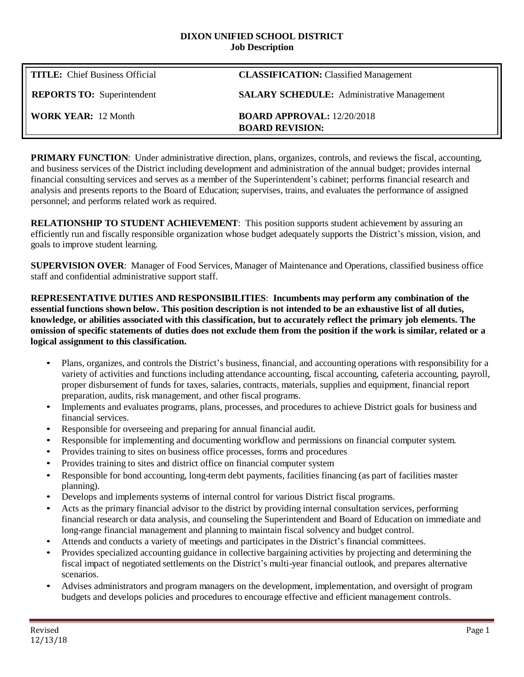#### **DIXON UNIFIED SCHOOL DISTRICT Job Description**

| <b>TITLE:</b> Chief Business Official | <b>CLASSIFICATION:</b> Classified Management                |
|---------------------------------------|-------------------------------------------------------------|
| <b>REPORTS TO:</b> Superintendent     | <b>SALARY SCHEDULE:</b> Administrative Management           |
| <b>WORK YEAR: 12 Month</b>            | <b>BOARD APPROVAL: 12/20/2018</b><br><b>BOARD REVISION:</b> |

**PRIMARY FUNCTION**: Under administrative direction, plans, organizes, controls, and reviews the fiscal, accounting, and business services of the District including development and administration of the annual budget; provides internal financial consulting services and serves as a member of the Superintendent's cabinet; performs financial research and analysis and presents reports to the Board of Education; supervises, trains, and evaluates the performance of assigned personnel; and performs related work as required.

**RELATIONSHIP TO STUDENT ACHIEVEMENT**: This position supports student achievement by assuring an efficiently run and fiscally responsible organization whose budget adequately supports the District's mission, vision, and goals to improve student learning.

**SUPERVISION OVER**: Manager of Food Services, Manager of Maintenance and Operations, classified business office staff and confidential administrative support staff.

**REPRESENTATIVE DUTIES AND RESPONSIBILITIES**: **Incumbents may perform any combination of the essential functions shown below. This position description is not intended to be an exhaustive list of all duties, knowledge, or abilities associated with this classification, but to accurately reflect the primary job elements. The**  omission of specific statements of duties does not exclude them from the position if the work is similar, related or a **logical assignment to this classification.**

- Plans, organizes, and controls the District's business, financial, and accounting operations with responsibility for a variety of activities and functions including attendance accounting, fiscal accounting, cafeteria accounting, payroll, proper disbursement of funds for taxes, salaries, contracts, materials, supplies and equipment, financial report preparation, audits, risk management, and other fiscal programs.
- Implements and evaluates programs, plans, processes, and procedures to achieve District goals for business and financial services.
- Responsible for overseeing and preparing for annual financial audit.
- Responsible for implementing and documenting workflow and permissions on financial computer system.
- Provides training to sites on business office processes, forms and procedures
- Provides training to sites and district office on financial computer system
- Responsible for bond accounting, long-term debt payments, facilities financing (as part of facilities master planning).
- Develops and implements systems of internal control for various District fiscal programs.
- Acts as the primary financial advisor to the district by providing internal consultation services, performing financial research or data analysis, and counseling the Superintendent and Board of Education on immediate and long-range financial management and planning to maintain fiscal solvency and budget control.
- Attends and conducts a variety of meetings and participates in the District's financial committees.
- Provides specialized accounting guidance in collective bargaining activities by projecting and determining the fiscal impact of negotiated settlements on the District's multi-year financial outlook, and prepares alternative scenarios.
- Advises administrators and program managers on the development, implementation, and oversight of program budgets and develops policies and procedures to encourage effective and efficient management controls.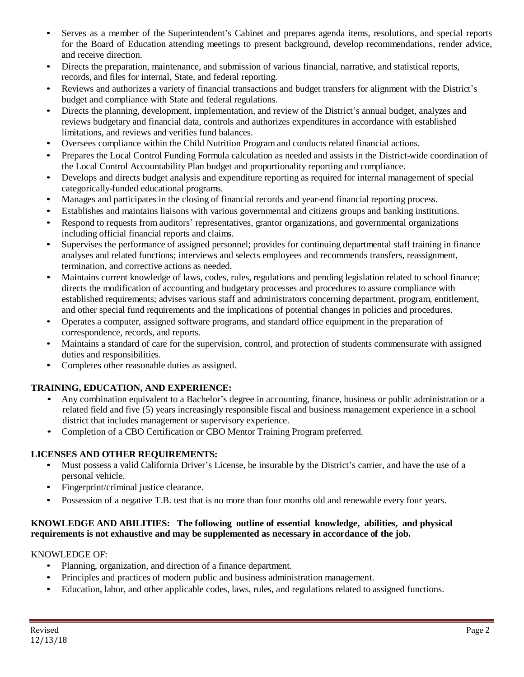- Serves as a member of the Superintendent's Cabinet and prepares agenda items, resolutions, and special reports for the Board of Education attending meetings to present background, develop recommendations, render advice, and receive direction.
- Directs the preparation, maintenance, and submission of various financial, narrative, and statistical reports, records, and files for internal, State, and federal reporting.
- Reviews and authorizes a variety of financial transactions and budget transfers for alignment with the District's budget and compliance with State and federal regulations.
- Directs the planning, development, implementation, and review of the District's annual budget, analyzes and reviews budgetary and financial data, controls and authorizes expenditures in accordance with established limitations, and reviews and verifies fund balances.
- Oversees compliance within the Child Nutrition Program and conducts related financial actions.
- Prepares the Local Control Funding Formula calculation as needed and assists in the District-wide coordination of the Local Control Accountability Plan budget and proportionality reporting and compliance.
- Develops and directs budget analysis and expenditure reporting as required for internal management of special categorically-funded educational programs.
- Manages and participates in the closing of financial records and year-end financial reporting process.
- Establishes and maintains liaisons with various governmental and citizens groups and banking institutions.
- Respond to requests from auditors' representatives, grantor organizations, and governmental organizations including official financial reports and claims.
- Supervises the performance of assigned personnel; provides for continuing departmental staff training in finance analyses and related functions; interviews and selects employees and recommends transfers, reassignment, termination, and corrective actions as needed.
- Maintains current knowledge of laws, codes, rules, regulations and pending legislation related to school finance; directs the modification of accounting and budgetary processes and procedures to assure compliance with established requirements; advises various staff and administrators concerning department, program, entitlement, and other special fund requirements and the implications of potential changes in policies and procedures.
- Operates a computer, assigned software programs, and standard office equipment in the preparation of correspondence, records, and reports.
- Maintains a standard of care for the supervision, control, and protection of students commensurate with assigned duties and responsibilities.
- Completes other reasonable duties as assigned.

## **TRAINING, EDUCATION, AND EXPERIENCE:**

- Any combination equivalent to a Bachelor's degree in accounting, finance, business or public administration or a related field and five (5) years increasingly responsible fiscal and business management experience in a school district that includes management or supervisory experience.
- Completion of a CBO Certification or CBO Mentor Training Program preferred.

## **LICENSES AND OTHER REQUIREMENTS:**

- Must possess a valid California Driver's License, be insurable by the District's carrier, and have the use of a personal vehicle.
- Fingerprint/criminal justice clearance.
- Possession of a negative T.B. test that is no more than four months old and renewable every four years.

### **KNOWLEDGE AND ABILITIES: The following outline of essential knowledge, abilities, and physical requirements is not exhaustive and may be supplemented as necessary in accordance of the job.**

### KNOWLEDGE OF:

- Planning, organization, and direction of a finance department.
- Principles and practices of modern public and business administration management.
- Education, labor, and other applicable codes, laws, rules, and regulations related to assigned functions.